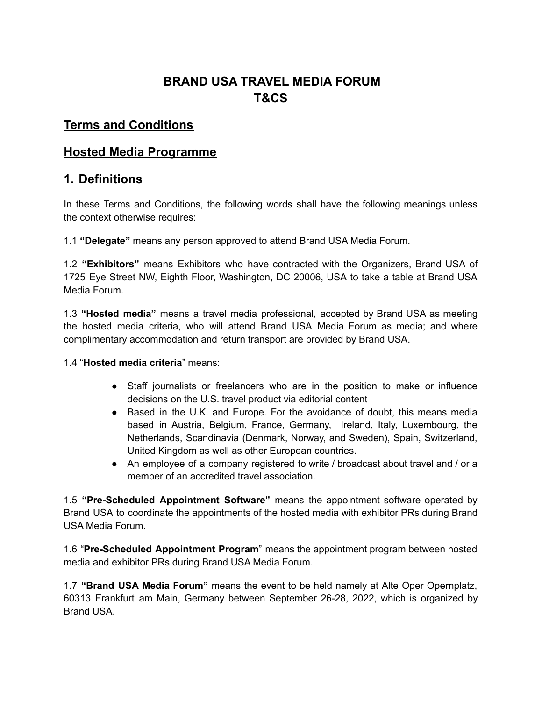# **BRAND USA TRAVEL MEDIA FORUM T&CS**

## **Terms and Conditions**

### **Hosted Media Programme**

## **1. Definitions**

In these Terms and Conditions, the following words shall have the following meanings unless the context otherwise requires:

1.1 **"Delegate"** means any person approved to attend Brand USA Media Forum.

1.2 **"Exhibitors"** means Exhibitors who have contracted with the Organizers, Brand USA of 1725 Eye Street NW, Eighth Floor, Washington, DC 20006, USA to take a table at Brand USA Media Forum.

1.3 **"Hosted media"** means a travel media professional, accepted by Brand USA as meeting the hosted media criteria, who will attend Brand USA Media Forum as media; and where complimentary accommodation and return transport are provided by Brand USA.

#### 1.4 "**Hosted media criteria**" means:

- Staff journalists or freelancers who are in the position to make or influence decisions on the U.S. travel product via editorial content
- Based in the U.K. and Europe. For the avoidance of doubt, this means media based in Austria, Belgium, France, Germany, Ireland, Italy, Luxembourg, the Netherlands, Scandinavia (Denmark, Norway, and Sweden), Spain, Switzerland, United Kingdom as well as other European countries.
- An employee of a company registered to write / broadcast about travel and / or a member of an accredited travel association.

1.5 **"Pre-Scheduled Appointment Software"** means the appointment software operated by Brand USA to coordinate the appointments of the hosted media with exhibitor PRs during Brand USA Media Forum.

1.6 "**Pre-Scheduled Appointment Program**" means the appointment program between hosted media and exhibitor PRs during Brand USA Media Forum.

1.7 **"Brand USA Media Forum"** means the event to be held namely at Alte Oper Opernplatz, 60313 Frankfurt am Main, Germany between September 26-28, 2022, which is organized by Brand USA.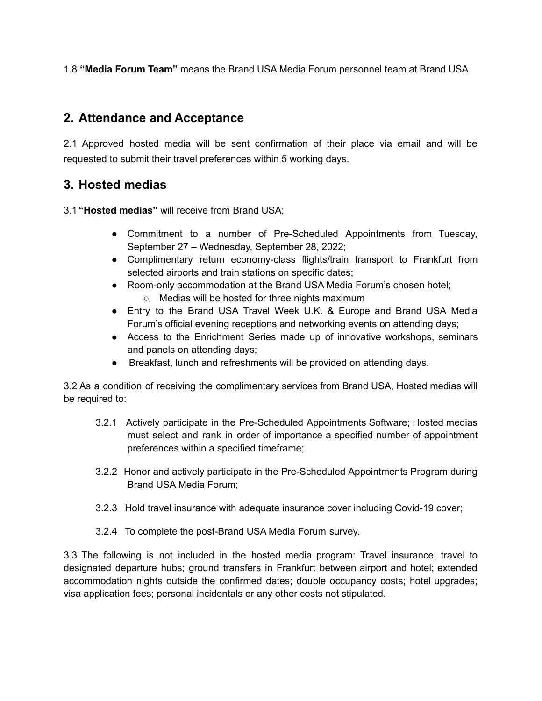1.8 **"Media Forum Team"** means the Brand USA Media Forum personnel team at Brand USA.

## **2. Attendance and Acceptance**

2.1 Approved hosted media will be sent confirmation of their place via email and will be requested to submit their travel preferences within 5 working days.

#### **3. Hosted medias**

3.1 **"Hosted medias"** will receive from Brand USA;

- Commitment to a number of Pre-Scheduled Appointments from Tuesday, September 27 – Wednesday, September 28, 2022;
- Complimentary return economy-class flights/train transport to Frankfurt from selected airports and train stations on specific dates;
- Room-only accommodation at the Brand USA Media Forum's chosen hotel;
	- Medias will be hosted for three nights maximum
- Entry to the Brand USA Travel Week U.K. & Europe and Brand USA Media Forum's official evening receptions and networking events on attending days;
- Access to the Enrichment Series made up of innovative workshops, seminars and panels on attending days;
- Breakfast, lunch and refreshments will be provided on attending days.

3.2 As a condition of receiving the complimentary services from Brand USA, Hosted medias will be required to:

- 3.2.1 Actively participate in the Pre-Scheduled Appointments Software; Hosted medias must select and rank in order of importance a specified number of appointment preferences within a specified timeframe;
- 3.2.2 Honor and actively participate in the Pre-Scheduled Appointments Program during Brand USA Media Forum;
- 3.2.3 Hold travel insurance with adequate insurance cover including Covid-19 cover;
- 3.2.4 To complete the post-Brand USA Media Forum survey.

3.3 The following is not included in the hosted media program: Travel insurance; travel to designated departure hubs; ground transfers in Frankfurt between airport and hotel; extended accommodation nights outside the confirmed dates; double occupancy costs; hotel upgrades; visa application fees; personal incidentals or any other costs not stipulated.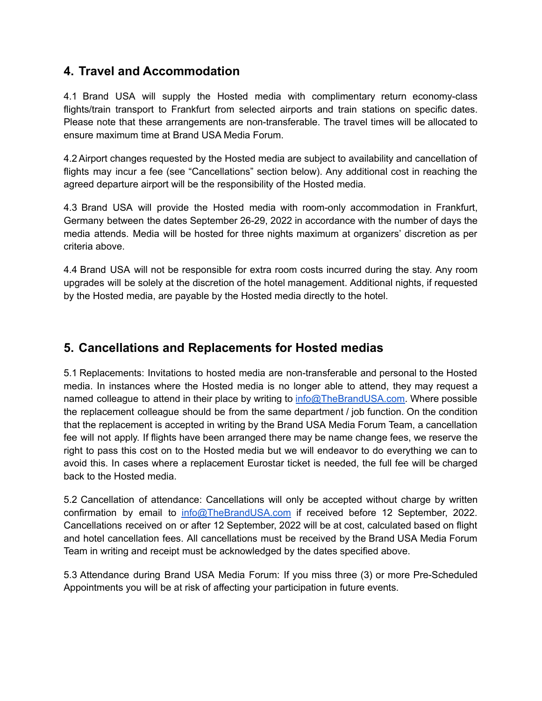## **4. Travel and Accommodation**

4.1 Brand USA will supply the Hosted media with complimentary return economy-class flights/train transport to Frankfurt from selected airports and train stations on specific dates. Please note that these arrangements are non-transferable. The travel times will be allocated to ensure maximum time at Brand USA Media Forum.

4.2Airport changes requested by the Hosted media are subject to availability and cancellation of flights may incur a fee (see "Cancellations" section below). Any additional cost in reaching the agreed departure airport will be the responsibility of the Hosted media.

4.3 Brand USA will provide the Hosted media with room-only accommodation in Frankfurt, Germany between the dates September 26-29, 2022 in accordance with the number of days the media attends. Media will be hosted for three nights maximum at organizers' discretion as per criteria above.

4.4 Brand USA will not be responsible for extra room costs incurred during the stay. Any room upgrades will be solely at the discretion of the hotel management. Additional nights, if requested by the Hosted media, are payable by the Hosted media directly to the hotel.

## **5. Cancellations and Replacements for Hosted medias**

5.1 Replacements: Invitations to hosted media are non-transferable and personal to the Hosted media. In instances where the Hosted media is no longer able to attend, they may request a named colleague to attend in their place by writing to  $info@TheBrandUSA.com$ . Where possible the replacement colleague should be from the same department / job function. On the condition that the replacement is accepted in writing by the Brand USA Media Forum Team, a cancellation fee will not apply. If flights have been arranged there may be name change fees, we reserve the right to pass this cost on to the Hosted media but we will endeavor to do everything we can to avoid this. In cases where a replacement Eurostar ticket is needed, the full fee will be charged back to the Hosted media.

5.2 Cancellation of attendance: Cancellations will only be accepted without charge by written confirmation by email to [info@TheBrandUSA.com](mailto:info@TheBrandUSA.com) if received before 12 September, 2022. Cancellations received on or after 12 September, 2022 will be at cost, calculated based on flight and hotel cancellation fees. All cancellations must be received by the Brand USA Media Forum Team in writing and receipt must be acknowledged by the dates specified above.

5.3 Attendance during Brand USA Media Forum: If you miss three (3) or more Pre-Scheduled Appointments you will be at risk of affecting your participation in future events.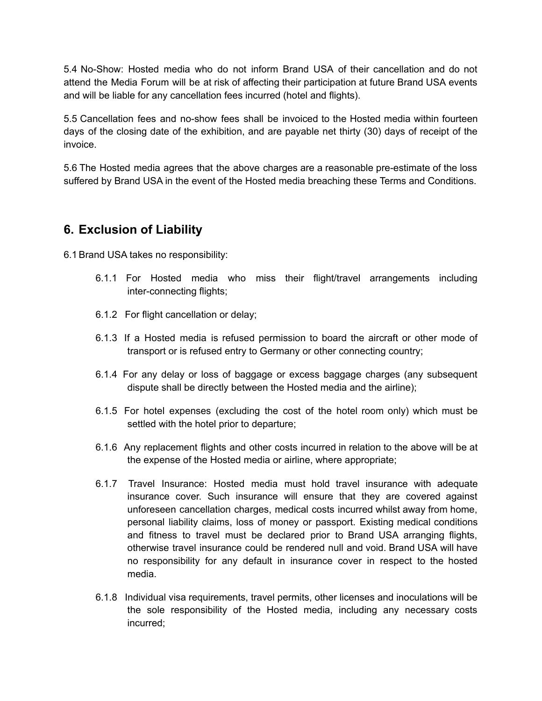5.4 No-Show: Hosted media who do not inform Brand USA of their cancellation and do not attend the Media Forum will be at risk of affecting their participation at future Brand USA events and will be liable for any cancellation fees incurred (hotel and flights).

5.5 Cancellation fees and no-show fees shall be invoiced to the Hosted media within fourteen days of the closing date of the exhibition, and are payable net thirty (30) days of receipt of the invoice.

5.6 The Hosted media agrees that the above charges are a reasonable pre-estimate of the loss suffered by Brand USA in the event of the Hosted media breaching these Terms and Conditions.

## **6. Exclusion of Liability**

6.1Brand USA takes no responsibility:

- 6.1.1 For Hosted media who miss their flight/travel arrangements including inter-connecting flights;
- 6.1.2 For flight cancellation or delay;
- 6.1.3 If a Hosted media is refused permission to board the aircraft or other mode of transport or is refused entry to Germany or other connecting country;
- 6.1.4 For any delay or loss of baggage or excess baggage charges (any subsequent dispute shall be directly between the Hosted media and the airline);
- 6.1.5 For hotel expenses (excluding the cost of the hotel room only) which must be settled with the hotel prior to departure;
- 6.1.6 Any replacement flights and other costs incurred in relation to the above will be at the expense of the Hosted media or airline, where appropriate;
- 6.1.7 Travel Insurance: Hosted media must hold travel insurance with adequate insurance cover. Such insurance will ensure that they are covered against unforeseen cancellation charges, medical costs incurred whilst away from home, personal liability claims, loss of money or passport. Existing medical conditions and fitness to travel must be declared prior to Brand USA arranging flights, otherwise travel insurance could be rendered null and void. Brand USA will have no responsibility for any default in insurance cover in respect to the hosted media.
- 6.1.8 Individual visa requirements, travel permits, other licenses and inoculations will be the sole responsibility of the Hosted media, including any necessary costs incurred;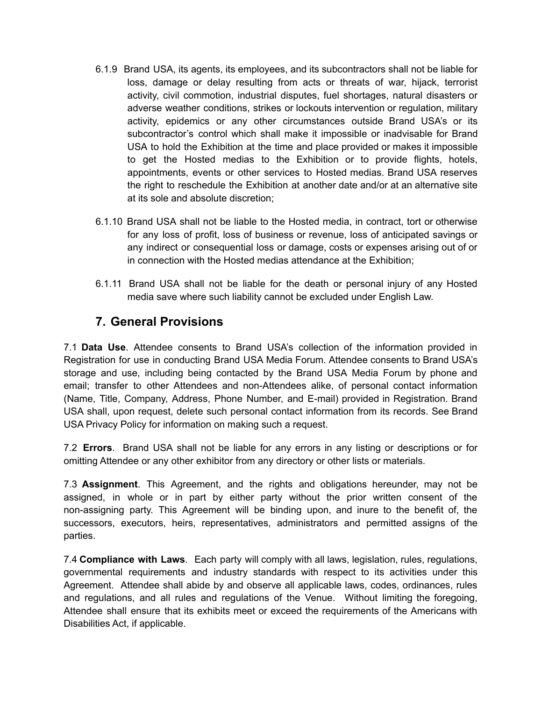- 6.1.9 Brand USA, its agents, its employees, and its subcontractors shall not be liable for loss, damage or delay resulting from acts or threats of war, hijack, terrorist activity, civil commotion, industrial disputes, fuel shortages, natural disasters or adverse weather conditions, strikes or lockouts intervention or regulation, military activity, epidemics or any other circumstances outside Brand USA's or its subcontractor's control which shall make it impossible or inadvisable for Brand USA to hold the Exhibition at the time and place provided or makes it impossible to get the Hosted medias to the Exhibition or to provide flights, hotels, appointments, events or other services to Hosted medias. Brand USA reserves the right to reschedule the Exhibition at another date and/or at an alternative site at its sole and absolute discretion;
- 6.1.10 Brand USA shall not be liable to the Hosted media, in contract, tort or otherwise for any loss of profit, loss of business or revenue, loss of anticipated savings or any indirect or consequential loss or damage, costs or expenses arising out of or in connection with the Hosted medias attendance at the Exhibition;
- 6.1.11 Brand USA shall not be liable for the death or personal injury of any Hosted media save where such liability cannot be excluded under English Law.

### **7. General Provisions**

7.1 **Data Use**. Attendee consents to Brand USA's collection of the information provided in Registration for use in conducting Brand USA Media Forum. Attendee consents to Brand USA's storage and use, including being contacted by the Brand USA Media Forum by phone and email; transfer to other Attendees and non-Attendees alike, of personal contact information (Name, Title, Company, Address, Phone Number, and E-mail) provided in Registration. Brand USA shall, upon request, delete such personal contact information from its records. See Brand USA Privacy Policy for information on making such a request.

7.2 **Errors**. Brand USA shall not be liable for any errors in any listing or descriptions or for omitting Attendee or any other exhibitor from any directory or other lists or materials.

7.3 **Assignment**. This Agreement, and the rights and obligations hereunder, may not be assigned, in whole or in part by either party without the prior written consent of the non-assigning party. This Agreement will be binding upon, and inure to the benefit of, the successors, executors, heirs, representatives, administrators and permitted assigns of the parties.

7.4 **Compliance with Laws**. Each party will comply with all laws, legislation, rules, regulations, governmental requirements and industry standards with respect to its activities under this Agreement. Attendee shall abide by and observe all applicable laws, codes, ordinances, rules and regulations, and all rules and regulations of the Venue. Without limiting the foregoing, Attendee shall ensure that its exhibits meet or exceed the requirements of the Americans with Disabilities Act, if applicable.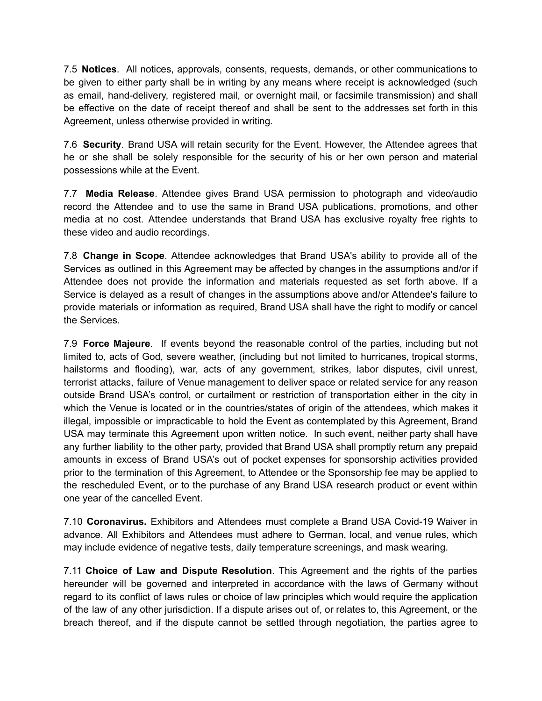7.5 **Notices**. All notices, approvals, consents, requests, demands, or other communications to be given to either party shall be in writing by any means where receipt is acknowledged (such as email, hand-delivery, registered mail, or overnight mail, or facsimile transmission) and shall be effective on the date of receipt thereof and shall be sent to the addresses set forth in this Agreement, unless otherwise provided in writing.

7.6 **Security**. Brand USA will retain security for the Event. However, the Attendee agrees that he or she shall be solely responsible for the security of his or her own person and material possessions while at the Event.

7.7 **Media Release**. Attendee gives Brand USA permission to photograph and video/audio record the Attendee and to use the same in Brand USA publications, promotions, and other media at no cost. Attendee understands that Brand USA has exclusive royalty free rights to these video and audio recordings.

7.8 **Change in Scope**. Attendee acknowledges that Brand USA's ability to provide all of the Services as outlined in this Agreement may be affected by changes in the assumptions and/or if Attendee does not provide the information and materials requested as set forth above. If a Service is delayed as a result of changes in the assumptions above and/or Attendee's failure to provide materials or information as required, Brand USA shall have the right to modify or cancel the Services.

7.9 **Force Majeure**. If events beyond the reasonable control of the parties, including but not limited to, acts of God, severe weather, (including but not limited to hurricanes, tropical storms, hailstorms and flooding), war, acts of any government, strikes, labor disputes, civil unrest, terrorist attacks, failure of Venue management to deliver space or related service for any reason outside Brand USA's control, or curtailment or restriction of transportation either in the city in which the Venue is located or in the countries/states of origin of the attendees, which makes it illegal, impossible or impracticable to hold the Event as contemplated by this Agreement, Brand USA may terminate this Agreement upon written notice. In such event, neither party shall have any further liability to the other party, provided that Brand USA shall promptly return any prepaid amounts in excess of Brand USA's out of pocket expenses for sponsorship activities provided prior to the termination of this Agreement, to Attendee or the Sponsorship fee may be applied to the rescheduled Event, or to the purchase of any Brand USA research product or event within one year of the cancelled Event.

7.10 **Coronavirus.** Exhibitors and Attendees must complete a Brand USA Covid-19 Waiver in advance. All Exhibitors and Attendees must adhere to German, local, and venue rules, which may include evidence of negative tests, daily temperature screenings, and mask wearing.

7.11 **Choice of Law and Dispute Resolution**. This Agreement and the rights of the parties hereunder will be governed and interpreted in accordance with the laws of Germany without regard to its conflict of laws rules or choice of law principles which would require the application of the law of any other jurisdiction. If a dispute arises out of, or relates to, this Agreement, or the breach thereof, and if the dispute cannot be settled through negotiation, the parties agree to